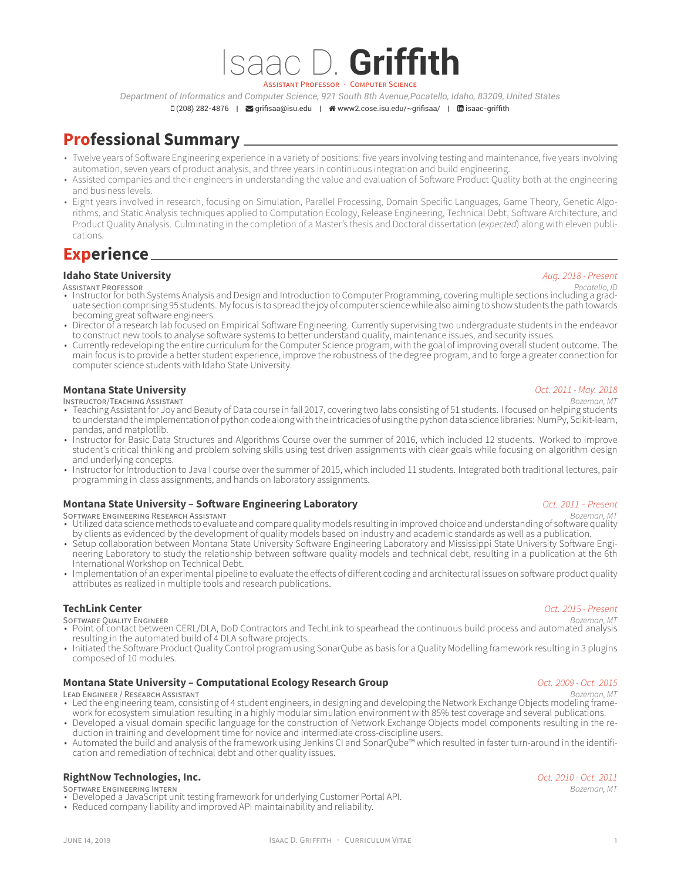ASSISTANT PROFESSOR · COMPUTER SCIENCE

*Department of Informatics and Computer Science, 921 South 8th Avenue,Pocatello, Idaho, 83209, United States*  $\Box$  (208) 282-4876 |  $\Box$  [grifisaa@isu.edu](mailto:grifisaa@isu.edu) |  $\triangleq$  [www2.cose.isu.edu/~grifisaa/](http://www2.cose.isu.edu/~grifisaa/) |  $\Box$  [isaac-griffith](https://www.linkedin.com/in/isaac-griffith)

Isaac D. **Griffith**

# **Professional Summary**

- Twelve years of Software Engineering experience in a variety of positions: five years involving testing and maintenance, five years involving automation, seven years of product analysis, and three years in continuous integration and build engineering.
- Assisted companies and their engineers in understanding the value and evaluation of Software Product Quality both at the engineering and business levels.
- Eight years involved in research, focusing on Simulation, Parallel Processing, Domain Specific Languages, Game Theory, Genetic Algorithms, and Static Analysis techniques applied to Computation Ecology, Release Engineering, Technical Debt, Software Architecture, and Product Quality Analysis. Culminating in the completion of a Master's thesis and Doctoral dissertation (*expected*) along with eleven publications.

## **Experience**

### **Idaho State University** *Aug. 2018 - Present*

- ASSISTANT PROFESSOR *Pocatello, ID* Instructor for both Systems Analysis and Design and Introduction to Computer Programming, covering multiple sections including a graduate section comprising 95 students. My focus is to spread the joy of computer science while also aiming to show students the path towards becoming great software engineers.
- Director of a research lab focused on Empirical Software Engineering. Currently supervising two undergraduate students in the endeavor to construct new tools to analyse software systems to better understand quality, maintenance issues, and security issues.
- Currently redeveloping the entire curriculum for the Computer Science program, with the goal of improving overall student outcome. The main focus is to provide a better student experience, improve the robustness of the degree program, and to forge a greater connection for computer science students with Idaho State University.

# **Montana State University** *Oct. 2011 - May. 2018*

- INSTRUCTOR/TEACHING ASSISTANT *Bozeman, MT* Teaching Assistant for Joy and Beauty of Data course in fall 2017, covering two labs consisting of 51 students. I focused on helping students to understand the implementation of python code along with the intricacies of using the python data science libraries: NumPy, Scikit-learn, pandas, and matplotlib.
- Instructor for Basic Data Structures and Algorithms Course over the summer of 2016, which included 12 students. Worked to improve student's critical thinking and problem solving skills using test driven assignments with clear goals while focusing on algorithm design and underlying concepts.
- Instructor for Introduction to Java I course over the summer of 2015, which included 11 students. Integrated both traditional lectures, pair programming in class assignments, and hands on laboratory assignments.

# **Montana State University – Software Engineering Laboratory** *Oct. 2011 – Present*

- SOFTWARE ENGINEERING RESEARCH ASSISTANT *Bozeman, MT* Utilized data science methods to evaluate and compare quality models resulting in improved choice and understanding of software quality by clients as evidenced by the development of quality models based on industry and academic standards as well as a publication.
- Setup collaboration between Montana State University Software Engineering Laboratory and Mississippi State University Software Engineering Laboratory to study the relationship between software quality models and technical debt, resulting in a publication at the 6th International Workshop on Technical Debt.
- Implementation of an experimental pipeline to evaluate the effects of different coding and architectural issues on software product quality attributes as realized in multiple tools and research publications.

- **TechLink Center** *Oct. 2015 Present*
- SOFTWARE QUALITY ENGINEER *Bozeman, MT* Point of contact between CERL/DLA, DoD Contractors and TechLink to spearhead the continuous build process and automated analysis resulting in the automated build of 4 DLA software projects.
- Initiated the Software Product Quality Control program using SonarQube as basis for a Quality Modelling framework resulting in 3 plugins composed of 10 modules.

### **Montana State University – Computational Ecology Research Group** *Computational State University – Computational Ecology Research Group*

- LEAD ENGINEER / RESEARCH ASSISTANT *Bozeman, MT* Led the engineering team, consisting of 4 student engineers, in designing and developing the Network Exchange Objects modeling framework for ecosystem simulation resulting in a highly modular simulation environment with 85% test coverage and several publications.
- Developed a visual domain specific language for the construction of Network Exchange Objects model components resulting in the reduction in training and development time for novice and intermediate cross-discipline users.
- Automated the build and analysis of the framework using Jenkins CI and SonarQube™ which resulted in faster turn-around in the identification and remediation of technical debt and other quality issues.

### **RightNow Technologies, Inc.** *Oct. 2010 - Oct. 2011*

- SOFTWARE ENGINEERING INTERN *Bozeman, MT* Developed a JavaScript unit testing framework for underlying Customer Portal API.
- Reduced company liability and improved API maintainability and reliability.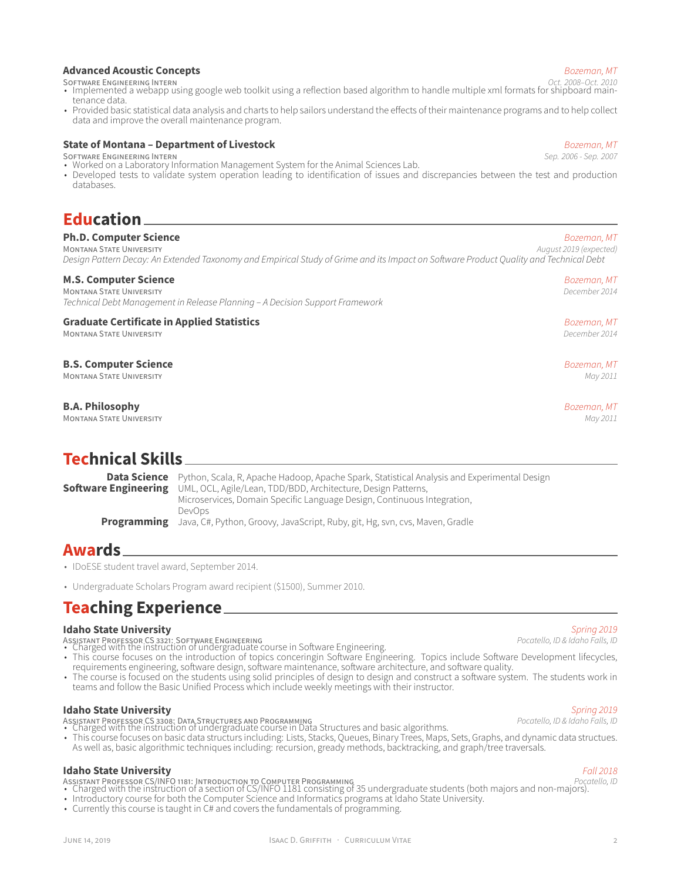## **Advanced Acoustic Concepts** *Bozeman, MT*

- SOFTWARE ENGINEERING INTERN *Oct. 2008–Oct. 2010* Implemented a webapp using google web toolkit using a reflection based algorithm to handle multiple xml formats for shipboard maintenance data.
- Provided basic statistical data analysis and charts to help sailors understand the effects of their maintenance programs and to help collect data and improve the overall maintenance program.

# **State of Montana – Department of Livestock** *Bozeman, MT*

- SOFTWARE ENGINEERING INTERN *Sep. 2006 Sep. 2007* Worked on a Laboratory Information Management System for the Animal Sciences Lab.
- Developed tests to validate system operation leading to identification of issues and discrepancies between the test and production databases.

## **Education**

**Ph.D. Computer Science** *Bozeman, MT* **MONTANA STATE UNIVERSITY** *Design Pattern Decay: An Extended Taxonomy and Empirical Study of Grime and its Impact on Software Product Quality and Technical Debt*

**B.S. Computer Science** *Bozeman, MT*

### **M.S. Computer Science** *Bozeman, MT*

MONTANA STATE UNIVERSITY *December 2014 Technical Debt Management in Release Planning – A Decision Support Framework*

### **Graduate Certificate in Applied Statistics** *Bozeman, MT* MONTANA STATE UNIVERSITY *December 2014*

### MONTANA STATE UNIVERSITY *May 2011*

**B.A. Philosophy** *Bozeman, MT* **MONTANA STATE UNIVERSITY** 

## **Technical Skills**

**Data Science** Python, Scala, R, Apache Hadoop, Apache Spark, Statistical Analysis and Experimental Design **Software Engineering** UML, OCL, Agile/Lean, TDD/BDD, Architecture, Design Patterns, UML, OCL, Agile/Lean, TDD/BDD, Architecture, Design Patterns, Microservices, Domain Specific Language Design, Continuous Integration, DevOps **Programming** Java, C#, Python, Groovy, JavaScript, Ruby, git, Hg, svn, cvs, Maven, Gradle

## **Awards**

- IDoESE student travel award, September 2014.
- Undergraduate Scholars Program award recipient (\$1500), Summer 2010.

## **Teaching Experience**

**Idaho State University** *Spring 2019*

- ASSISTANT PROFESSOR CS 3321: SOFTWARE ENGINEERING *Pocatello, ID & Idaho Falls, ID* Charged with the instruction of undergraduate course in Software Engineering.
- This course focuses on the introduction of topics conceringin Software Engineering. Topics include Software Development lifecycles, requirements engineering, software design, software maintenance, software architecture, and software quality.
- The course is focused on the students using solid principles of design to design and construct a software system. The students work in teams and follow the Basic Unified Process which include weekly meetings with their instructor.

**Idaho State University** *Spring 2019*

ASSISTANT PROFESSOR CS 3308: DATA STRUCTURES AND PROGRAMMING *Pocatello, ID & Idaho Falls, ID* • Charged with the instruction of undergraduate course in Data Structures and basic algorithms. • This course focuses on basic data structurs including: Lists, Stacks, Queues, Binary Trees, Maps, Sets, Graphs, and dynamic data structues. As well as, basic algorithmic techniques including: recursion, gready methods, backtracking, and graph/tree traversals.

### **Idaho State University** *Fall 2018*

- ASSISTANT PROFESSOR CS/INFO 1181: INTRODUCTION TO COMPUTER PROGRAMMING *Pocatello, ID* Charged with the instruction of a section of CS/INFO 1181 consisting of 35 undergraduate students (both majors and non-majors). • Introductory course for both the Computer Science and Informatics programs at Idaho State University.
- Currently this course is taught in C# and covers the fundamentals of programming.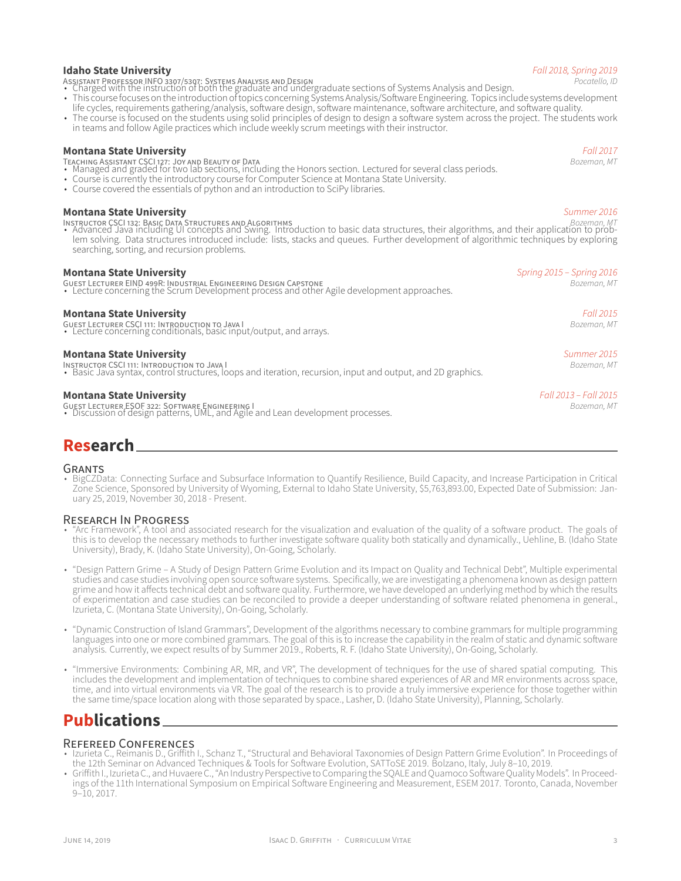### **Idaho State University** *Fall 2018, Spring 2019*

- 
- ASSISTANT PROFESSOR INFO 3307/5307: SYSTEMS ANALYSIS AND DESIGN *Pocatello, ID* Charged with the instruction of both the graduate and undergraduate sections of Systems Analysis and Design.
- This course focuses on the introduction of topics concerning Systems Analysis/Software Engineering. Topics include systems development life cycles, requirements gathering/analysis, software design, software maintenance, software architecture, and software quality.
- The course is focused on the students using solid principles of design to design a software system across the project. The students work in teams and follow Agile practices which include weekly scrum meetings with their instructor.

### **Montana State University** *Fall 2017*

- TEACHING ASSISTANT CSCI 127: JOY AND BEAUTY OF DATA *Bozeman, MT* Managed and graded for two lab sections, including the Honors section. Lectured for several class periods.
- Course is currently the introductory course for Computer Science at Montana State University.
- Course covered the essentials of python and an introduction to SciPy libraries.

## **Montana State University** *Summer 2016*

INSTRUCTOR CSCI 132: BASIC DATA STRUCTURES AND ALGORITHMS *Bozeman, MT* • Advanced Java including UI concepts and Swing. Introduction to basic data structures, their algorithms, and their application to problem solving. Data structures introduced include: lists, stacks and queues. Further development of algorithmic techniques by exploring searching, sorting, and recursion problems.

**Montana State University** *Spring 2015 – Spring 2016* GUEST LECTURER EIND 499R: INDUSTRIAL ENGINEERING DESIGN CAPSTONE *Bozeman, MT* • Lecture concerning the Scrum Development process and other Agile development approaches.

## **Montana State University** *Fall 2015*

GUEST LECTURER CSCI 111: INTRODUCTION TO JAVA I *Bozeman, MT* • Lecture concerning conditionals, basic input/output, and arrays.

### **Montana State University** *Summer 2015*

INSTRUCTOR CSCI 111: INTRODUCTION TO JAVA I *Bozeman, MT* • Basic Java syntax, control structures, loops and iteration, recursion, input and output, and 2D graphics.

**Montana State University** *Fall 2013 – Fall 2015* GUEST LECTURER ESOF 322: SOFTWARE ENGINEERING I *Bozeman, MT* • Discussion of design patterns, UML, and Agile and Lean development processes.

# **Research**

### GRANTS

• BigCZData: Connecting Surface and Subsurface Information to Quantify Resilience, Build Capacity, and Increase Participation in Critical Zone Science, Sponsored by University of Wyoming, External to Idaho State University, \$5,763,893.00, Expected Date of Submission: January 25, 2019, November 30, 2018 - Present.

### RESEARCH IN PROGRESS

- "Arc Framework", A tool and associated research for the visualization and evaluation of the quality of a software product. The goals of this is to develop the necessary methods to further investigate software quality both statically and dynamically., Uehline, B. (Idaho State University), Brady, K. (Idaho State University), On-Going, Scholarly.
- "Design Pattern Grime A Study of Design Pattern Grime Evolution and its Impact on Quality and Technical Debt", Multiple experimental studies and case studies involving open source software systems. Specifically, we are investigating a phenomena known as design pattern grime and how it affects technical debt and software quality. Furthermore, we have developed an underlying method by which the results of experimentation and case studies can be reconciled to provide a deeper understanding of software related phenomena in general., Izurieta, C. (Montana State University), On-Going, Scholarly.
- "Dynamic Construction of Island Grammars", Development of the algorithms necessary to combine grammars for multiple programming languages into one or more combined grammars. The goal of this is to increase the capability in the realm of static and dynamic software analysis. Currently, we expect results of by Summer 2019., Roberts, R. F. (Idaho State University), On-Going, Scholarly.
- "Immersive Environments: Combining AR, MR, and VR", The development of techniques for the use of shared spatial computing. This includes the development and implementation of techniques to combine shared experiences of AR and MR environments across space, time, and into virtual environments via VR. The goal of the research is to provide a truly immersive experience for those together within the same time/space location along with those separated by space., Lasher, D. (Idaho State University), Planning, Scholarly.

## **Publications**

### REFEREED CONFERENCES

- Izurieta C., Reimanis D., Griffith I., Schanz T., "Structural and Behavioral Taxonomies of Design Pattern Grime Evolution". In Proceedings of the 12th Seminar on Advanced Techniques & Tools for Software Evolution, SATToSE 2019. Bolzano, Italy, July 8–10, 2019.
- Griffith I., Izurieta C., and Huvaere C., "An Industry Perspective to Comparing the SQALE and Quamoco Software Quality Models". In Proceedings of the 11th International Symposium on Empirical Software Engineering and Measurement, ESEM 2017. Toronto, Canada, November 9–10, 2017.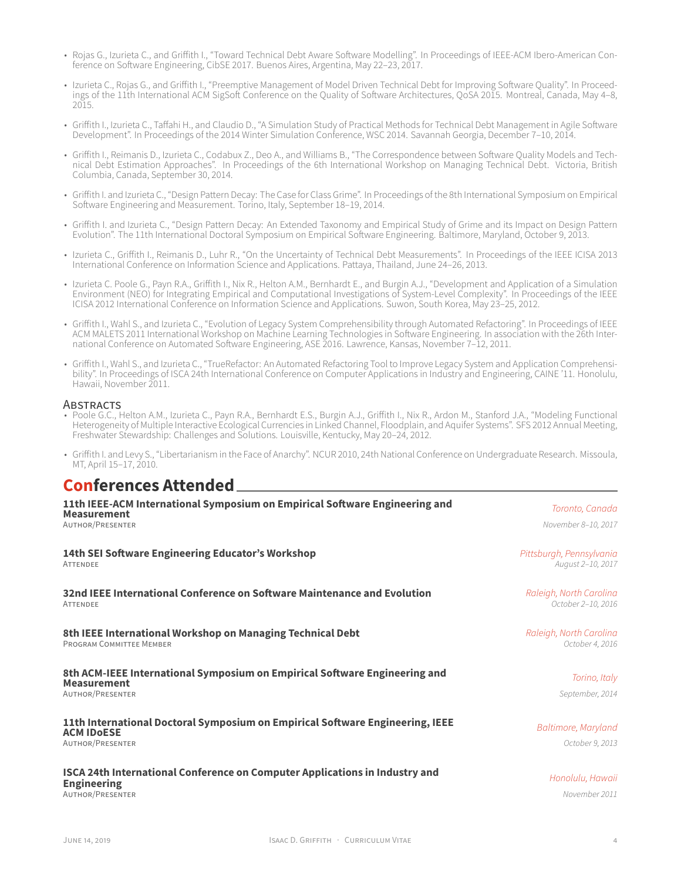- Rojas G., Izurieta C., and Griffith I., "Toward Technical Debt Aware Software Modelling". In Proceedings of IEEE-ACM Ibero-American Conference on Software Engineering, CibSE 2017. Buenos Aires, Argentina, May 22–23, 2017.
- Izurieta C., Rojas G., and Griffith I., "Preemptive Management of Model Driven Technical Debt for Improving Software Quality". In Proceedings of the 11th International ACM SigSoft Conference on the Quality of Software Architectures, QoSA 2015. Montreal, Canada, May 4–8, 2015.
- Griffith I., Izurieta C., Taffahi H., and Claudio D., "A Simulation Study of Practical Methods for Technical Debt Management in Agile Software Development". In Proceedings of the 2014 Winter Simulation Conference, WSC 2014. Savannah Georgia, December 7–10, 2014.
- Griffith I., Reimanis D., Izurieta C., Codabux Z., Deo A., and Williams B., "The Correspondence between Software Quality Models and Technical Debt Estimation Approaches". In Proceedings of the 6th International Workshop on Managing Technical Debt. Victoria, British Columbia, Canada, September 30, 2014.
- Griffith I. and Izurieta C., "Design Pattern Decay: The Case for Class Grime". In Proceedings of the 8th International Symposium on Empirical Software Engineering and Measurement. Torino, Italy, September 18–19, 2014.
- Griffith I. and Izurieta C., "Design Pattern Decay: An Extended Taxonomy and Empirical Study of Grime and its Impact on Design Pattern Evolution". The 11th International Doctoral Symposium on Empirical Software Engineering. Baltimore, Maryland, October 9, 2013.
- Izurieta C., Griffith I., Reimanis D., Luhr R., "On the Uncertainty of Technical Debt Measurements". In Proceedings of the IEEE ICISA 2013 International Conference on Information Science and Applications. Pattaya, Thailand, June 24–26, 2013.
- Izurieta C. Poole G., Payn R.A., Griffith I., Nix R., Helton A.M., Bernhardt E., and Burgin A.J., "Development and Application of a Simulation Environment (NEO) for Integrating Empirical and Computational Investigations of System-Level Complexity". In Proceedings of the IEEE ICISA 2012 International Conference on Information Science and Applications. Suwon, South Korea, May 23–25, 2012.
- Griffith I., Wahl S., and Izurieta C., "Evolution of Legacy System Comprehensibility through Automated Refactoring". In Proceedings of IEEE ACM MALETS 2011 International Workshop on Machine Learning Technologies in Software Engineering. In association with the 26th International Conference on Automated Software Engineering, ASE 2016. Lawrence, Kansas, November 7–12, 2011.
- Griffith I., Wahl S., and Izurieta C., "TrueRefactor: An Automated Refactoring Tool to Improve Legacy System and Application Comprehensibility". In Proceedings of ISCA 24th International Conference on Computer Applications in Industry and Engineering, CAINE '11. Honolulu, Hawaii, November 2011.

### ABSTRACTS

- Poole G.C., Helton A.M., Izurieta C., Payn R.A., Bernhardt E.S., Burgin A.J., Griffith I., Nix R., Ardon M., Stanford J.A., "Modeling Functional Heterogeneity of Multiple Interactive Ecological Currencies in Linked Channel, Floodplain, and Aquifer Systems". SFS 2012 Annual Meeting, Freshwater Stewardship: Challenges and Solutions. Louisville, Kentucky, May 20–24, 2012.
- Griffith I. and Levy S., "Libertarianism in the Face of Anarchy". NCUR 2010, 24th National Conference on Undergraduate Research. Missoula, MT, April 15–17, 2010.

## **Conferences Attended**

| 11th IEEE-ACM International Symposium on Empirical Software Engineering and<br><b>Measurement</b><br><b>AUTHOR/PRESENTER</b> | Toronto, Canada<br>November 8-10, 2017        |
|------------------------------------------------------------------------------------------------------------------------------|-----------------------------------------------|
| 14th SEI Software Engineering Educator's Workshop<br>ATTENDEE                                                                | Pittsburgh, Pennsylvania<br>August 2-10, 2017 |
| 32nd IEEE International Conference on Software Maintenance and Evolution<br>ATTENDEE                                         | Raleigh, North Carolina<br>October 2-10, 2016 |
| 8th IEEE International Workshop on Managing Technical Debt<br>PROGRAM COMMITTEE MEMBER                                       | Raleigh, North Carolina<br>October 4, 2016    |
| 8th ACM-IEEE International Symposium on Empirical Software Engineering and<br><b>Measurement</b><br>AUTHOR/PRESENTER         | Torino, Italy<br>September, 2014              |
| 11th International Doctoral Symposium on Empirical Software Engineering, IEEE<br><b>ACM IDOESE</b><br>AUTHOR/PRESENTER       | Baltimore, Maryland<br>October 9, 2013        |
| ISCA 24th International Conference on Computer Applications in Industry and<br><b>Engineering</b><br><b>AUTHOR/PRESENTER</b> | Honolulu, Hawaii<br>November 2011             |